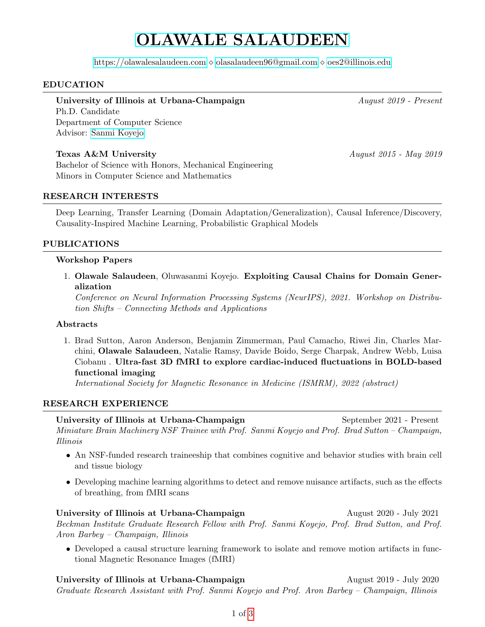# [OLAWALE SALAUDEEN](HTTPS://OLAWALESALAUDEEN.COM)

<https://olawalesalaudeen.com> [olasalaudeen96@gmail.com](mailto:olasalaudeen96@gmail.com) [oes2@illinois.edu](mailto:oes2@illinois.edu)

# EDUCATION

# University of Illinois at Urbana-Champaign August 2019 - Present

Ph.D. Candidate Department of Computer Science Advisor: [Sanmi Koyejo](http://sanmi.cs.illinois.edu/)

# Texas A&M University August 2015 - May 2019

Bachelor of Science with Honors, Mechanical Engineering Minors in Computer Science and Mathematics

# RESEARCH INTERESTS

Deep Learning, Transfer Learning (Domain Adaptation/Generalization), Causal Inference/Discovery, Causality-Inspired Machine Learning, Probabilistic Graphical Models

# PUBLICATIONS

## Workshop Papers

1. Olawale Salaudeen, Oluwasanmi Koyejo. Exploiting Causal Chains for Domain Generalization

Conference on Neural Information Processing Systems (NeurIPS), 2021. Workshop on Distribution Shifts – Connecting Methods and Applications

## **Abstracts**

1. Brad Sutton, Aaron Anderson, Benjamin Zimmerman, Paul Camacho, Riwei Jin, Charles Marchini, Olawale Salaudeen, Natalie Ramsy, Davide Boido, Serge Charpak, Andrew Webb, Luisa Ciobanu . Ultra-fast 3D fMRI to explore cardiac-induced fluctuations in BOLD-based functional imaging

International Society for Magnetic Resonance in Medicine (ISMRM), 2022 (abstract)

## RESEARCH EXPERIENCE

University of Illinois at Urbana-Champaign September 2021 - Present Miniature Brain Machinery NSF Trainee with Prof. Sanmi Koyejo and Prof. Brad Sutton – Champaign, Illinois

- An NSF-funded research traineeship that combines cognitive and behavior studies with brain cell and tissue biology
- Developing machine learning algorithms to detect and remove nuisance artifacts, such as the effects of breathing, from fMRI scans

# University of Illinois at Urbana-Champaign August 2020 - July 2021 Beckman Institute Graduate Research Fellow with Prof. Sanmi Koyejo, Prof. Brad Sutton, and Prof. Aron Barbey – Champaign, Illinois

• Developed a causal structure learning framework to isolate and remove motion artifacts in functional Magnetic Resonance Images (fMRI)

University of Illinois at Urbana-Champaign August 2019 - July 2020 Graduate Research Assistant with Prof. Sanmi Koyejo and Prof. Aron Barbey – Champaign, Illinois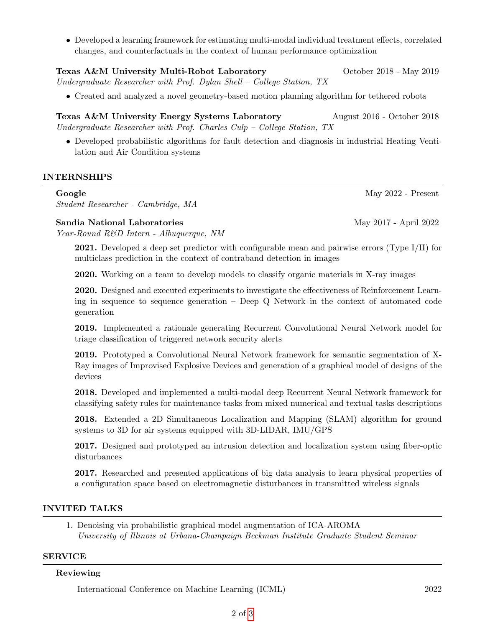• Developed a learning framework for estimating multi-modal individual treatment effects, correlated changes, and counterfactuals in the context of human performance optimization

#### Texas A&M University Multi-Robot Laboratory October 2018 - May 2019

Undergraduate Researcher with Prof. Dylan Shell – College Station, TX

• Created and analyzed a novel geometry-based motion planning algorithm for tethered robots

Texas A&M University Energy Systems Laboratory August 2016 - October 2018 Undergraduate Researcher with Prof. Charles Culp – College Station, TX

• Developed probabilistic algorithms for fault detection and diagnosis in industrial Heating Ventilation and Air Condition systems

## INTERNSHIPS

#### Google May 2022 - Present

Student Researcher - Cambridge, MA

## Sandia National Laboratories and the May 2017 - April 2022

Year-Round R&D Intern - Albuquerque, NM

2021. Developed a deep set predictor with configurable mean and pairwise errors (Type I/II) for multiclass prediction in the context of contraband detection in images

2020. Working on a team to develop models to classify organic materials in X-ray images

2020. Designed and executed experiments to investigate the effectiveness of Reinforcement Learning in sequence to sequence generation – Deep Q Network in the context of automated code generation

2019. Implemented a rationale generating Recurrent Convolutional Neural Network model for triage classification of triggered network security alerts

2019. Prototyped a Convolutional Neural Network framework for semantic segmentation of X-Ray images of Improvised Explosive Devices and generation of a graphical model of designs of the devices

2018. Developed and implemented a multi-modal deep Recurrent Neural Network framework for classifying safety rules for maintenance tasks from mixed numerical and textual tasks descriptions

2018. Extended a 2D Simultaneous Localization and Mapping (SLAM) algorithm for ground systems to 3D for air systems equipped with 3D-LIDAR, IMU/GPS

2017. Designed and prototyped an intrusion detection and localization system using fiber-optic disturbances

2017. Researched and presented applications of big data analysis to learn physical properties of a configuration space based on electromagnetic disturbances in transmitted wireless signals

## INVITED TALKS

1. Denoising via probabilistic graphical model augmentation of ICA-AROMA University of Illinois at Urbana-Champaign Beckman Institute Graduate Student Seminar

### SERVICE

#### Reviewing

International Conference on Machine Learning (ICML) 2022